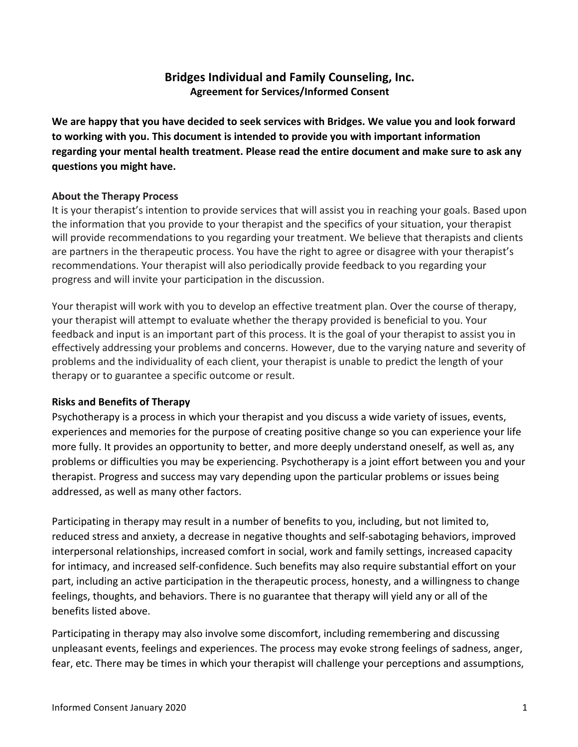# **Bridges Individual and Family Counseling, Inc. Agreement for Services/Informed Consent**

We are happy that you have decided to seek services with Bridges. We value you and look forward to working with you. This document is intended to provide you with important information regarding your mental health treatment. Please read the entire document and make sure to ask any **questions you might have.** 

# **About the Therapy Process**

It is your therapist's intention to provide services that will assist you in reaching your goals. Based upon the information that you provide to your therapist and the specifics of your situation, your therapist will provide recommendations to you regarding your treatment. We believe that therapists and clients are partners in the therapeutic process. You have the right to agree or disagree with your therapist's recommendations. Your therapist will also periodically provide feedback to you regarding your progress and will invite your participation in the discussion.

Your therapist will work with you to develop an effective treatment plan. Over the course of therapy, your therapist will attempt to evaluate whether the therapy provided is beneficial to you. Your feedback and input is an important part of this process. It is the goal of your therapist to assist you in effectively addressing your problems and concerns. However, due to the varying nature and severity of problems and the individuality of each client, your therapist is unable to predict the length of your therapy or to guarantee a specific outcome or result.

# **Risks and Benefits of Therapy**

Psychotherapy is a process in which your therapist and you discuss a wide variety of issues, events, experiences and memories for the purpose of creating positive change so you can experience your life more fully. It provides an opportunity to better, and more deeply understand oneself, as well as, any problems or difficulties you may be experiencing. Psychotherapy is a joint effort between you and your therapist. Progress and success may vary depending upon the particular problems or issues being addressed, as well as many other factors.

Participating in therapy may result in a number of benefits to you, including, but not limited to, reduced stress and anxiety, a decrease in negative thoughts and self-sabotaging behaviors, improved interpersonal relationships, increased comfort in social, work and family settings, increased capacity for intimacy, and increased self-confidence. Such benefits may also require substantial effort on your part, including an active participation in the therapeutic process, honesty, and a willingness to change feelings, thoughts, and behaviors. There is no guarantee that therapy will yield any or all of the benefits listed above.

Participating in therapy may also involve some discomfort, including remembering and discussing unpleasant events, feelings and experiences. The process may evoke strong feelings of sadness, anger, fear, etc. There may be times in which your therapist will challenge your perceptions and assumptions,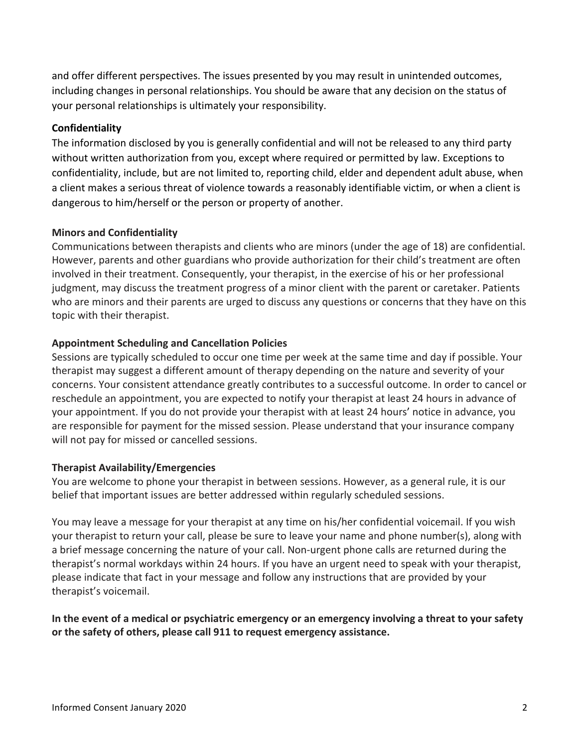and offer different perspectives. The issues presented by you may result in unintended outcomes, including changes in personal relationships. You should be aware that any decision on the status of your personal relationships is ultimately your responsibility.

## **Confidentiality**

The information disclosed by you is generally confidential and will not be released to any third party without written authorization from you, except where required or permitted by law. Exceptions to confidentiality, include, but are not limited to, reporting child, elder and dependent adult abuse, when a client makes a serious threat of violence towards a reasonably identifiable victim, or when a client is dangerous to him/herself or the person or property of another.

# **Minors and Confidentiality**

Communications between therapists and clients who are minors (under the age of 18) are confidential. However, parents and other guardians who provide authorization for their child's treatment are often involved in their treatment. Consequently, your therapist, in the exercise of his or her professional judgment, may discuss the treatment progress of a minor client with the parent or caretaker. Patients who are minors and their parents are urged to discuss any questions or concerns that they have on this topic with their therapist.

# **Appointment Scheduling and Cancellation Policies**

Sessions are typically scheduled to occur one time per week at the same time and day if possible. Your therapist may suggest a different amount of therapy depending on the nature and severity of your concerns. Your consistent attendance greatly contributes to a successful outcome. In order to cancel or reschedule an appointment, you are expected to notify your therapist at least 24 hours in advance of your appointment. If you do not provide your therapist with at least 24 hours' notice in advance, you are responsible for payment for the missed session. Please understand that your insurance company will not pay for missed or cancelled sessions.

## **Therapist Availability/Emergencies**

You are welcome to phone your therapist in between sessions. However, as a general rule, it is our belief that important issues are better addressed within regularly scheduled sessions.

You may leave a message for your therapist at any time on his/her confidential voicemail. If you wish your therapist to return your call, please be sure to leave your name and phone number(s), along with a brief message concerning the nature of your call. Non-urgent phone calls are returned during the therapist's normal workdays within 24 hours. If you have an urgent need to speak with your therapist, please indicate that fact in your message and follow any instructions that are provided by your therapist's voicemail.

In the event of a medical or psychiatric emergency or an emergency involving a threat to your safety or the safety of others, please call 911 to request emergency assistance.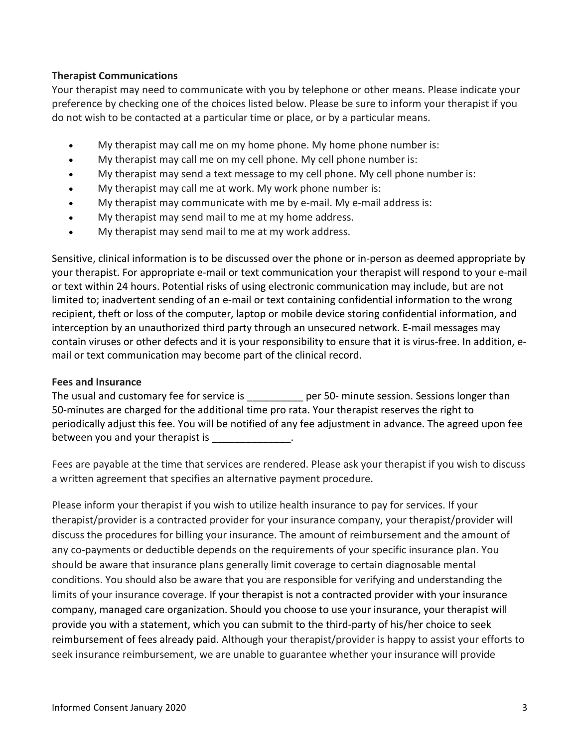# **Therapist Communications**

Your therapist may need to communicate with you by telephone or other means. Please indicate your preference by checking one of the choices listed below. Please be sure to inform your therapist if you do not wish to be contacted at a particular time or place, or by a particular means.

- My therapist may call me on my home phone. My home phone number is:
- My therapist may call me on my cell phone. My cell phone number is:
- My therapist may send a text message to my cell phone. My cell phone number is:
- My therapist may call me at work. My work phone number is:
- My therapist may communicate with me by e-mail. My e-mail address is:
- My therapist may send mail to me at my home address.
- My therapist may send mail to me at my work address.

Sensitive, clinical information is to be discussed over the phone or in-person as deemed appropriate by your therapist. For appropriate e-mail or text communication your therapist will respond to your e-mail or text within 24 hours. Potential risks of using electronic communication may include, but are not limited to; inadvertent sending of an e-mail or text containing confidential information to the wrong recipient, theft or loss of the computer, laptop or mobile device storing confidential information, and interception by an unauthorized third party through an unsecured network. E-mail messages may contain viruses or other defects and it is your responsibility to ensure that it is virus-free. In addition, email or text communication may become part of the clinical record.

## **Fees and Insurance**

| The usual and customary fee for service is                                                               | per 50- minute session. Sessions longer than |
|----------------------------------------------------------------------------------------------------------|----------------------------------------------|
| 50-minutes are charged for the additional time pro rata. Your therapist reserves the right to            |                                              |
| periodically adjust this fee. You will be notified of any fee adjustment in advance. The agreed upon fee |                                              |
| between you and your therapist is                                                                        |                                              |

Fees are payable at the time that services are rendered. Please ask your therapist if you wish to discuss a written agreement that specifies an alternative payment procedure.

Please inform your therapist if you wish to utilize health insurance to pay for services. If your therapist/provider is a contracted provider for your insurance company, your therapist/provider will discuss the procedures for billing your insurance. The amount of reimbursement and the amount of any co-payments or deductible depends on the requirements of your specific insurance plan. You should be aware that insurance plans generally limit coverage to certain diagnosable mental conditions. You should also be aware that you are responsible for verifying and understanding the limits of your insurance coverage. If your therapist is not a contracted provider with your insurance company, managed care organization. Should you choose to use your insurance, your therapist will provide you with a statement, which you can submit to the third-party of his/her choice to seek reimbursement of fees already paid. Although your therapist/provider is happy to assist your efforts to seek insurance reimbursement, we are unable to guarantee whether your insurance will provide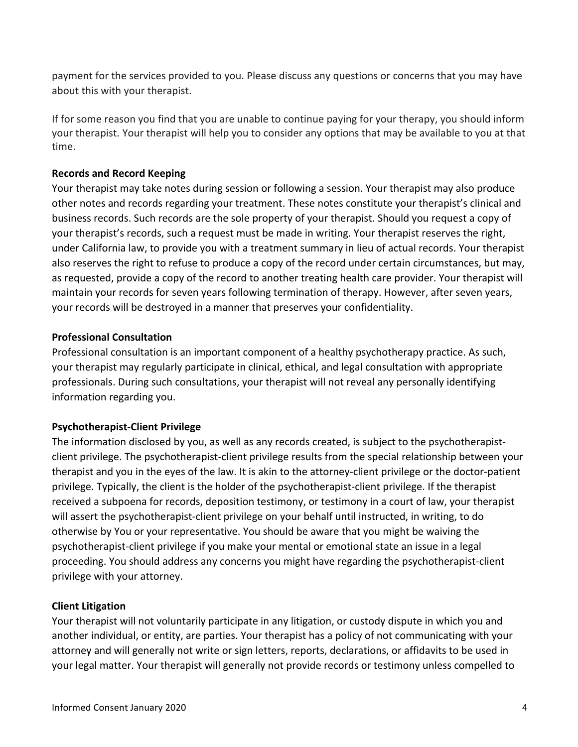payment for the services provided to you. Please discuss any questions or concerns that you may have about this with your therapist.

If for some reason you find that you are unable to continue paying for your therapy, you should inform your therapist. Your therapist will help you to consider any options that may be available to you at that time.

# **Records and Record Keeping**

Your therapist may take notes during session or following a session. Your therapist may also produce other notes and records regarding your treatment. These notes constitute your therapist's clinical and business records. Such records are the sole property of your therapist. Should you request a copy of your therapist's records, such a request must be made in writing. Your therapist reserves the right, under California law, to provide you with a treatment summary in lieu of actual records. Your therapist also reserves the right to refuse to produce a copy of the record under certain circumstances, but may, as requested, provide a copy of the record to another treating health care provider. Your therapist will maintain your records for seven years following termination of therapy. However, after seven years, your records will be destroyed in a manner that preserves your confidentiality.

## **Professional Consultation**

Professional consultation is an important component of a healthy psychotherapy practice. As such, your therapist may regularly participate in clinical, ethical, and legal consultation with appropriate professionals. During such consultations, your therapist will not reveal any personally identifying information regarding you.

# **Psychotherapist-Client Privilege**

The information disclosed by you, as well as any records created, is subject to the psychotherapistclient privilege. The psychotherapist-client privilege results from the special relationship between your therapist and you in the eyes of the law. It is akin to the attorney-client privilege or the doctor-patient privilege. Typically, the client is the holder of the psychotherapist-client privilege. If the therapist received a subpoena for records, deposition testimony, or testimony in a court of law, your therapist will assert the psychotherapist-client privilege on your behalf until instructed, in writing, to do otherwise by You or your representative. You should be aware that you might be waiving the psychotherapist-client privilege if you make your mental or emotional state an issue in a legal proceeding. You should address any concerns you might have regarding the psychotherapist-client privilege with your attorney.

## **Client Litigation**

Your therapist will not voluntarily participate in any litigation, or custody dispute in which you and another individual, or entity, are parties. Your therapist has a policy of not communicating with your attorney and will generally not write or sign letters, reports, declarations, or affidavits to be used in your legal matter. Your therapist will generally not provide records or testimony unless compelled to